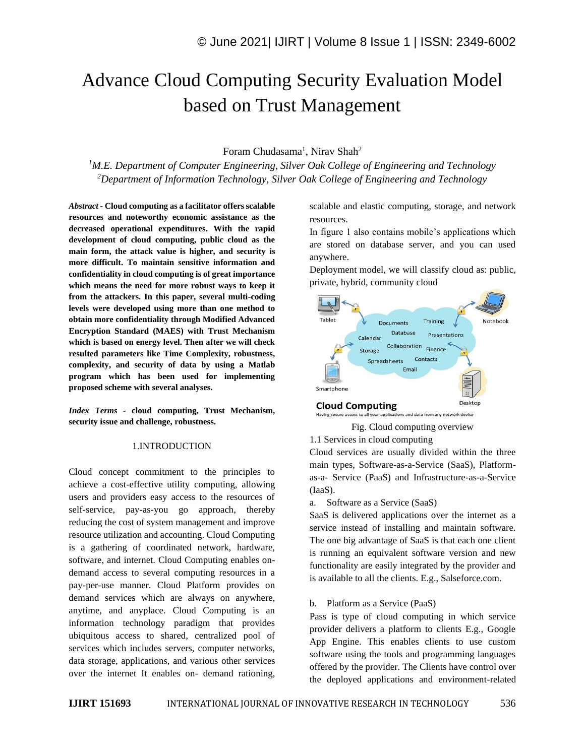# Advance Cloud Computing Security Evaluation Model based on Trust Management

# Foram Chudasama<sup>1</sup>, Nirav Shah<sup>2</sup>

*<sup>1</sup>M.E. Department of Computer Engineering, Silver Oak College of Engineering and Technology <sup>2</sup>Department of Information Technology, Silver Oak College of Engineering and Technology*

*Abstract -* **Cloud computing as a facilitator offers scalable resources and noteworthy economic assistance as the decreased operational expenditures. With the rapid development of cloud computing, public cloud as the main form, the attack value is higher, and security is more difficult. To maintain sensitive information and confidentiality in cloud computing is of great importance which means the need for more robust ways to keep it from the attackers. In this paper, several multi-coding levels were developed using more than one method to obtain more confidentiality through Modified Advanced Encryption Standard (MAES) with Trust Mechanism which is based on energy level. Then after we will check resulted parameters like Time Complexity, robustness, complexity, and security of data by using a Matlab program which has been used for implementing proposed scheme with several analyses.**

*Index Terms -* **cloud computing, Trust Mechanism, security issue and challenge, robustness.**

## 1.INTRODUCTION

Cloud concept commitment to the principles to achieve a cost-effective utility computing, allowing users and providers easy access to the resources of self-service, pay-as-you go approach, thereby reducing the cost of system management and improve resource utilization and accounting. Cloud Computing is a gathering of coordinated network, hardware, software, and internet. Cloud Computing enables ondemand access to several computing resources in a pay-per-use manner. Cloud Platform provides on demand services which are always on anywhere, anytime, and anyplace. Cloud Computing is an information technology paradigm that provides ubiquitous access to shared, centralized pool of services which includes servers, computer networks, data storage, applications, and various other services over the internet It enables on- demand rationing, scalable and elastic computing, storage, and network resources.

In figure 1 also contains mobile's applications which are stored on database server, and you can used anywhere.

Deployment model, we will classify cloud as: public, private, hybrid, community cloud



Fig. Cloud computing overview 1.1 Services in cloud computing

Cloud services are usually divided within the three main types, Software-as-a-Service (SaaS), Platformas-a- Service (PaaS) and Infrastructure-as-a-Service (IaaS).

#### a. Software as a Service (SaaS)

SaaS is delivered applications over the internet as a service instead of installing and maintain software. The one big advantage of SaaS is that each one client is running an equivalent software version and new functionality are easily integrated by the provider and is available to all the clients. E.g., Salseforce.com.

#### b. Platform as a Service (PaaS)

Pass is type of cloud computing in which service provider delivers a platform to clients E.g., Google App Engine. This enables clients to use custom software using the tools and programming languages offered by the provider. The Clients have control over the deployed applications and environment-related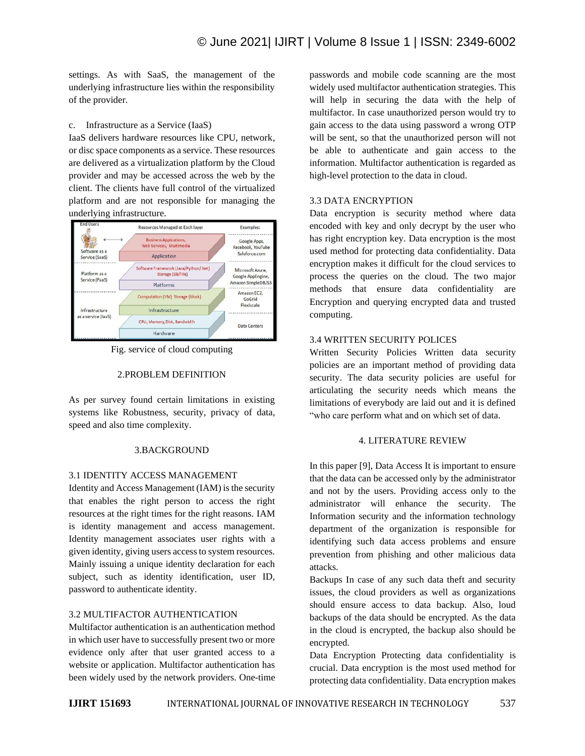settings. As with SaaS, the management of the underlying infrastructure lies within the responsibility of the provider.

## c. Infrastructure as a Service (IaaS)

IaaS delivers hardware resources like CPU, network, or disc space components as a service. These resources are delivered as a virtualization platform by the Cloud provider and may be accessed across the web by the client. The clients have full control of the virtualized platform and are not responsible for managing the underlying infrastructure.



Fig. service of cloud computing

## 2.PROBLEM DEFINITION

As per survey found certain limitations in existing systems like Robustness, security, privacy of data, speed and also time complexity.

#### 3.BACKGROUND

## 3.1 IDENTITY ACCESS MANAGEMENT

Identity and Access Management (IAM) is the security that enables the right person to access the right resources at the right times for the right reasons. IAM is identity management and access management. Identity management associates user rights with a given identity, giving users access to system resources. Mainly issuing a unique identity declaration for each subject, such as identity identification, user ID, password to authenticate identity.

# 3.2 MULTIFACTOR AUTHENTICATION

Multifactor authentication is an authentication method in which user have to successfully present two or more evidence only after that user granted access to a website or application. Multifactor authentication has been widely used by the network providers. One-time

passwords and mobile code scanning are the most widely used multifactor authentication strategies. This will help in securing the data with the help of multifactor. In case unauthorized person would try to gain access to the data using password a wrong OTP will be sent, so that the unauthorized person will not be able to authenticate and gain access to the information. Multifactor authentication is regarded as high-level protection to the data in cloud.

## 3.3 DATA ENCRYPTION

Data encryption is security method where data encoded with key and only decrypt by the user who has right encryption key. Data encryption is the most used method for protecting data confidentiality. Data encryption makes it difficult for the cloud services to process the queries on the cloud. The two major methods that ensure data confidentiality are Encryption and querying encrypted data and trusted computing.

## 3.4 WRITTEN SECURITY POLICES

Written Security Policies Written data security policies are an important method of providing data security. The data security policies are useful for articulating the security needs which means the limitations of everybody are laid out and it is defined "who care perform what and on which set of data.

## 4. LITERATURE REVIEW

In this paper [9], Data Access It is important to ensure that the data can be accessed only by the administrator and not by the users. Providing access only to the administrator will enhance the security. The Information security and the information technology department of the organization is responsible for identifying such data access problems and ensure prevention from phishing and other malicious data attacks.

Backups In case of any such data theft and security issues, the cloud providers as well as organizations should ensure access to data backup. Also, loud backups of the data should be encrypted. As the data in the cloud is encrypted, the backup also should be encrypted.

Data Encryption Protecting data confidentiality is crucial. Data encryption is the most used method for protecting data confidentiality. Data encryption makes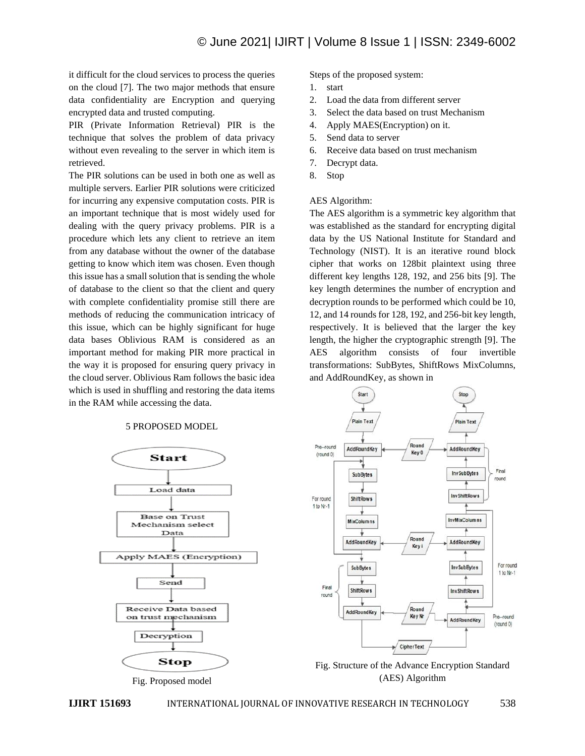it difficult for the cloud services to process the queries on the cloud [7]. The two major methods that ensure data confidentiality are Encryption and querying encrypted data and trusted computing.

PIR (Private Information Retrieval) PIR is the technique that solves the problem of data privacy without even revealing to the server in which item is retrieved.

The PIR solutions can be used in both one as well as multiple servers. Earlier PIR solutions were criticized for incurring any expensive computation costs. PIR is an important technique that is most widely used for dealing with the query privacy problems. PIR is a procedure which lets any client to retrieve an item from any database without the owner of the database getting to know which item was chosen. Even though this issue has a small solution that is sending the whole of database to the client so that the client and query with complete confidentiality promise still there are methods of reducing the communication intricacy of this issue, which can be highly significant for huge data bases Oblivious RAM is considered as an important method for making PIR more practical in the way it is proposed for ensuring query privacy in the cloud server. Oblivious Ram follows the basic idea which is used in shuffling and restoring the data items in the RAM while accessing the data.

# 5 PROPOSED MODEL





Steps of the proposed system:

- 1. start
- 2. Load the data from different server
- 3. Select the data based on trust Mechanism
- 4. Apply MAES(Encryption) on it.
- 5. Send data to server
- 6. Receive data based on trust mechanism
- 7. Decrypt data.
- 8. Stop

#### AES Algorithm:

The AES algorithm is a symmetric key algorithm that was established as the standard for encrypting digital data by the US National Institute for Standard and Technology (NIST). It is an iterative round block cipher that works on 128bit plaintext using three different key lengths 128, 192, and 256 bits [9]. The key length determines the number of encryption and decryption rounds to be performed which could be 10, 12, and 14 rounds for 128, 192, and 256-bit key length, respectively. It is believed that the larger the key length, the higher the cryptographic strength [9]. The AES algorithm consists of four invertible transformations: SubBytes, ShiftRows MixColumns, and AddRoundKey, as shown in



Fig. Structure of the Advance Encryption Standard (AES) Algorithm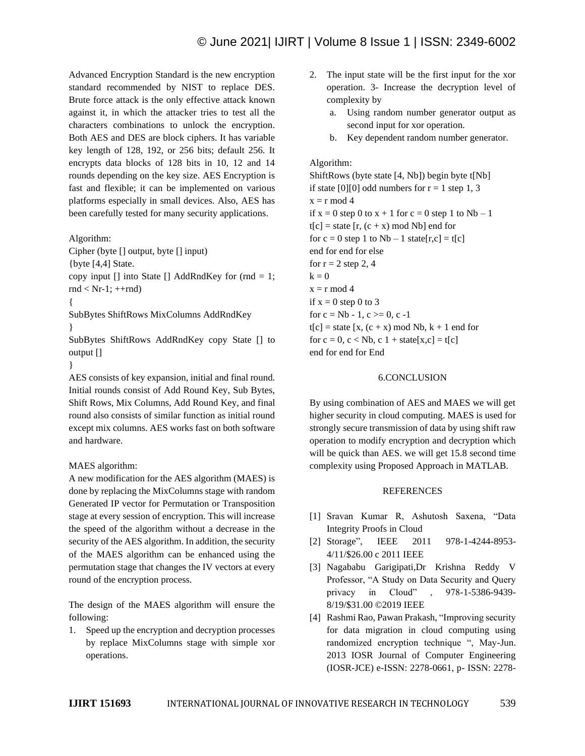Advanced Encryption Standard is the new encryption standard recommended by NIST to replace DES. Brute force attack is the only effective attack known against it, in which the attacker tries to test all the characters combinations to unlock the encryption. Both AES and DES are block ciphers. It has variable key length of 128, 192, or 256 bits; default 256. It encrypts data blocks of 128 bits in 10, 12 and 14 rounds depending on the key size. AES Encryption is fast and flexible; it can be implemented on various platforms especially in small devices. Also, AES has been carefully tested for many security applications.

Algorithm:

Cipher (byte [] output, byte [] input)

{byte [4,4] State.

copy input  $\lceil \cdot \rceil$  into State  $\lceil \cdot \rceil$  AddRndKey for (rnd = 1;  $rnd < Nr-1$ ;  $++rnd$ )

{

SubBytes ShiftRows MixColumns AddRndKey }

SubBytes ShiftRows AddRndKey copy State [] to output []

}

AES consists of key expansion, initial and final round. Initial rounds consist of Add Round Key, Sub Bytes, Shift Rows, Mix Columns, Add Round Key, and final round also consists of similar function as initial round except mix columns. AES works fast on both software and hardware.

## MAES algorithm:

A new modification for the AES algorithm (MAES) is done by replacing the MixColumns stage with random Generated IP vector for Permutation or Transposition stage at every session of encryption. This will increase the speed of the algorithm without a decrease in the security of the AES algorithm. In addition, the security of the MAES algorithm can be enhanced using the permutation stage that changes the IV vectors at every round of the encryption process.

The design of the MAES algorithm will ensure the following:

1. Speed up the encryption and decryption processes by replace MixColumns stage with simple xor operations.

- 2. The input state will be the first input for the xor operation. 3- Increase the decryption level of complexity by
	- a. Using random number generator output as second input for xor operation.
	- b. Key dependent random number generator.

## Algorithm:

ShiftRows (byte state [4, Nb]) begin byte t[Nb] if state [0][0] odd numbers for  $r = 1$  step 1, 3  $x = r \mod 4$ if  $x = 0$  step 0 to  $x + 1$  for  $c = 0$  step 1 to  $Nb - 1$  $t[c] = state [r, (c + x) \mod Nb]$  end for for  $c = 0$  step 1 to  $Nb - 1$  state[r,c] = t[c] end for end for else for  $r = 2$  step 2, 4  $k = 0$  $x = r \mod 4$ if  $x = 0$  step 0 to 3 for  $c = Nb - 1$ ,  $c \ge 0$ ,  $c - 1$  $t[c] = state [x, (c + x) \mod Nb, k + 1 \mod for$ for  $c = 0$ ,  $c < Nb$ ,  $c \ne 1 + state[x,c] = t[c]$ end for end for End

#### 6.CONCLUSION

By using combination of AES and MAES we will get higher security in cloud computing. MAES is used for strongly secure transmission of data by using shift raw operation to modify encryption and decryption which will be quick than AES. we will get 15.8 second time complexity using Proposed Approach in MATLAB.

## **REFERENCES**

- [1] Sravan Kumar R, Ashutosh Saxena, "Data Integrity Proofs in Cloud
- [2] Storage", IEEE 2011 978-1-4244-8953-4/11/\$26.00 c 2011 IEEE
- [3] Nagababu Garigipati,Dr Krishna Reddy V Professor, "A Study on Data Security and Query privacy in Cloud" , 978-1-5386-9439- 8/19/\$31.00 ©2019 IEEE
- [4] Rashmi Rao, Pawan Prakash, "Improving security for data migration in cloud computing using randomized encryption technique ", May-Jun. 2013 IOSR Journal of Computer Engineering (IOSR-JCE) e-ISSN: 2278-0661, p- ISSN: 2278-